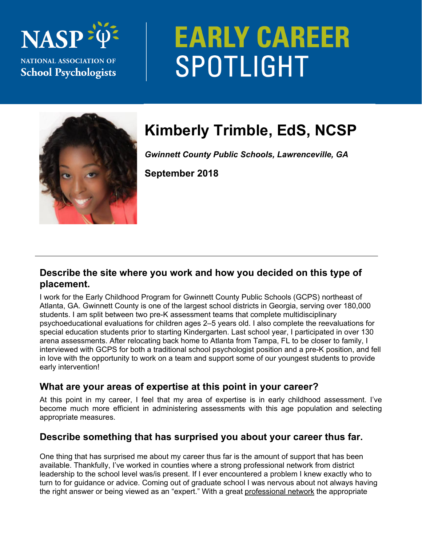# **NAS NATIONAL ASSOCIATION OF School Psychologists**

# **EARLY CAREER** SPOTLIGHT



# **Kimberly Trimble, EdS, NCSP**

*Gwinnett County Public Schools, Lawrenceville, GA* 

**September 2018** 

## **Describe the site where you work and how you decided on this type of placement.**

I work for the Early Childhood Program for Gwinnett County Public Schools (GCPS) northeast of Atlanta, GA. Gwinnett County is one of the largest school districts in Georgia, serving over 180,000 students. I am split between two pre-K assessment teams that complete multidisciplinary psychoeducational evaluations for children ages 2–5 years old. I also complete the reevaluations for special education students prior to starting Kindergarten. Last school year, I participated in over 130 arena assessments. After relocating back home to Atlanta from Tampa, FL to be closer to family, I interviewed with GCPS for both a traditional school psychologist position and a pre-K position, and fell in love with the opportunity to work on a team and support some of our youngest students to provide early intervention!

# **What are your areas of expertise at this point in your career?**

At this point in my career, I feel that my area of expertise is in early childhood assessment. I've become much more efficient in administering assessments with this age population and selecting appropriate measures.

# **Describe something that has surprised you about your career thus far.**

One thing that has surprised me about my career thus far is the amount of support that has been available. Thankfully, I've worked in counties where a strong professional network from district leadership to the school level was/is present. If I ever encountered a problem I knew exactly who to turn to for guidance or advice. Coming out of graduate school I was nervous about not always having the right answer or being viewed as an "expert." With a great professional network the appropriate